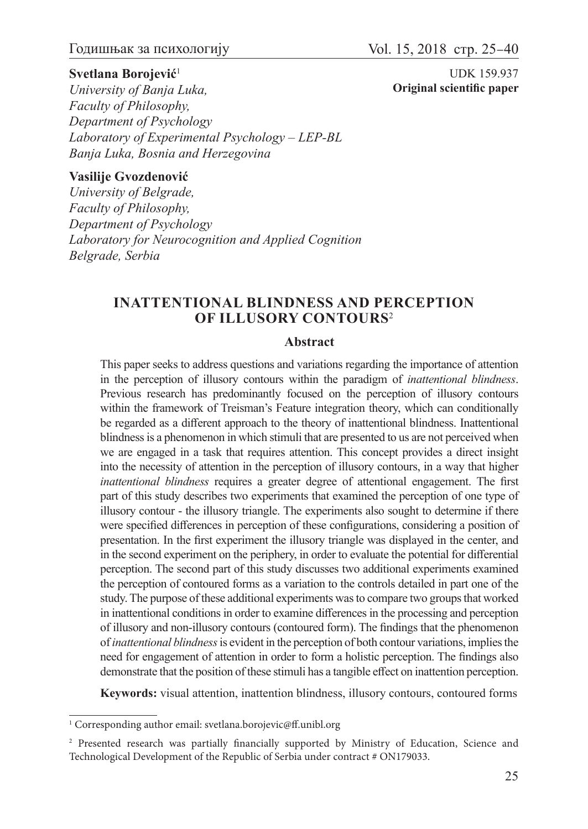### **Svetlana Borojević**<sup>1</sup>

UDK 159.937 **Original scientific paper**

*University of Banja Luka, Faculty of Philosophy, Department of Psychology Laboratory of Experimental Psychology – LEP-BL Banja Luka, Bosnia and Herzegovina*

### **Vasilije Gvozdenović**

*University of Belgrade, Faculty of Philosophy, Department of Psychology Laboratory for Neurocognition and Applied Cognition Belgrade, Serbia*

### **INATTENTIONAL BLINDNESS AND PERCEPTION OF ILLUSORY CONTOURS**<sup>2</sup>

#### **Abstract**

This paper seeks to address questions and variations regarding the importance of attention in the perception of illusory contours within the paradigm of *inattentional blindness*. Previous research has predominantly focused on the perception of illusory contours within the framework of Treisman's Feature integration theory, which can conditionally be regarded as a different approach to the theory of inattentional blindness. Inattentional blindness is a phenomenon in which stimuli that are presented to us are not perceived when we are engaged in a task that requires attention. This concept provides a direct insight into the necessity of attention in the perception of illusory contours, in a way that higher *inattentional blindness* requires a greater degree of attentional engagement. The first part of this study describes two experiments that examined the perception of one type of illusory contour - the illusory triangle. The experiments also sought to determine if there were specified differences in perception of these configurations, considering a position of presentation. In the first experiment the illusory triangle was displayed in the center, and in the second experiment on the periphery, in order to evaluate the potential for differential perception. The second part of this study discusses two additional experiments examined the perception of contoured forms as a variation to the controls detailed in part one of the study. The purpose of these additional experiments was to compare two groups that worked in inattentional conditions in order to examine differences in the processing and perception of illusory and non-illusory contours (contoured form). The findings that the phenomenon of *inattentional blindness* is evident in the perception of both contour variations, implies the need for engagement of attention in order to form a holistic perception. The findings also demonstrate that the position of these stimuli has a tangible effect on inattention perception.

**Keywords:** visual attention, inattention blindness, illusory contours, contoured forms

<sup>&</sup>lt;sup>1</sup> Corresponding author email: svetlana.borojevic@ff.unibl.org

<sup>2</sup> Presented research was partially financially supported by Ministry of Education, Science and Technological Development of the Republic of Serbia under contract # ON179033.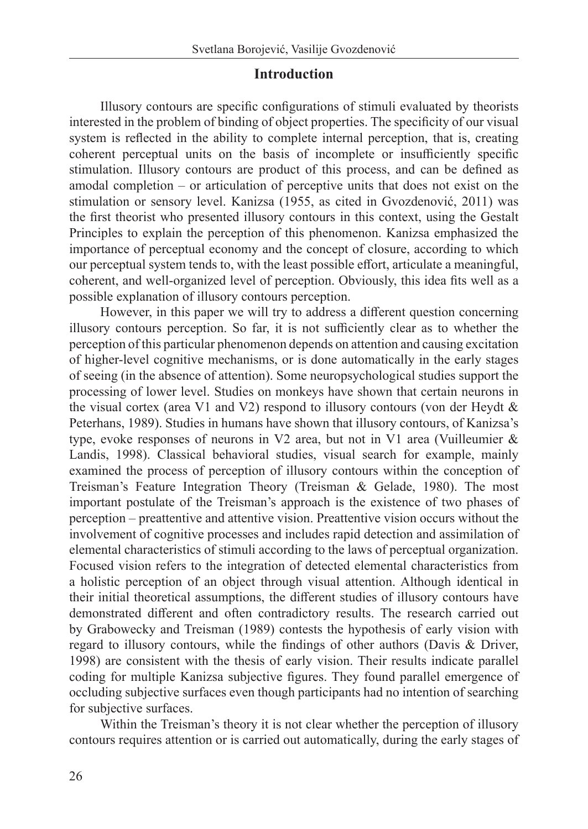### **Introduction**

Illusory contours are specific configurations of stimuli evaluated by theorists interested in the problem of binding of object properties. The specificity of our visual system is reflected in the ability to complete internal perception, that is, creating coherent perceptual units on the basis of incomplete or insufficiently specific stimulation. Illusory contours are product of this process, and can be defined as amodal completion – or articulation of perceptive units that does not exist on the stimulation or sensory level. Kanizsa (1955, as cited in Gvozdenović, 2011) was the first theorist who presented illusory contours in this context, using the Gestalt Principles to explain the perception of this phenomenon. Kanizsa emphasized the importance of perceptual economy and the concept of closure, according to which our perceptual system tends to, with the least possible effort, articulate a meaningful, coherent, and well-organized level of perception. Obviously, this idea fits well as a possible explanation of illusory contours perception.

However, in this paper we will try to address a different question concerning illusory contours perception. So far, it is not sufficiently clear as to whether the perception of this particular phenomenon depends on attention and causing excitation of higher-level cognitive mechanisms, or is done automatically in the early stages of seeing (in the absence of attention). Some neuropsychological studies support the processing of lower level. Studies on monkeys have shown that certain neurons in the visual cortex (area V1 and V2) respond to illusory contours (von der Heydt & Peterhans, 1989). Studies in humans have shown that illusory contours, of Kanizsa's type, evoke responses of neurons in V2 area, but not in V1 area (Vuilleumier & Landis, 1998). Classical behavioral studies, visual search for example, mainly examined the process of perception of illusory contours within the conception of Treisman's Feature Integration Theory (Treisman & Gelade, 1980). The most important postulate of the Treisman's approach is the existence of two phases of perception – preattentive and attentive vision. Preattentive vision occurs without the involvement of cognitive processes and includes rapid detection and assimilation of elemental characteristics of stimuli according to the laws of perceptual organization. Focused vision refers to the integration of detected elemental characteristics from a holistic perception of an object through visual attention. Although identical in their initial theoretical assumptions, the different studies of illusory contours have demonstrated different and often contradictory results. The research carried out by Grabowecky and Treisman (1989) contests the hypothesis of early vision with regard to illusory contours, while the findings of other authors (Davis & Driver, 1998) are consistent with the thesis of early vision. Their results indicate parallel coding for multiple Kanizsa subjective figures. They found parallel emergence of occluding subjective surfaces even though participants had no intention of searching for subjective surfaces.

Within the Treisman's theory it is not clear whether the perception of illusory contours requires attention or is carried out automatically, during the early stages of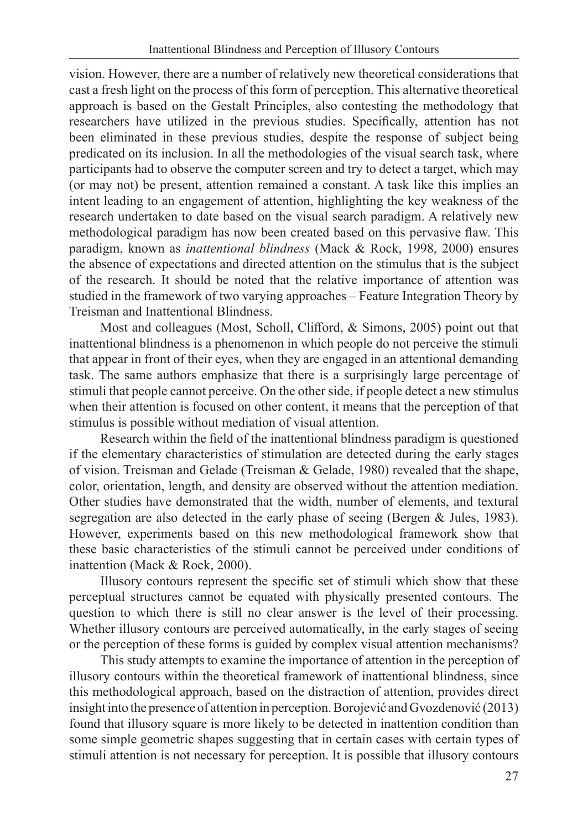vision. However, there are a number of relatively new theoretical considerations that cast a fresh light on the process of this form of perception. This alternative theoretical approach is based on the Gestalt Principles, also contesting the methodology that researchers have utilized in the previous studies. Specifically, attention has not been eliminated in these previous studies, despite the response of subject being predicated on its inclusion. In all the methodologies of the visual search task, where participants had to observe the computer screen and try to detect a target, which may (or may not) be present, attention remained a constant. A task like this implies an intent leading to an engagement of attention, highlighting the key weakness of the research undertaken to date based on the visual search paradigm. A relatively new methodological paradigm has now been created based on this pervasive flaw. This paradigm, known as *inattentional blindness* (Mack & Rock, 1998, 2000) ensures the absence of expectations and directed attention on the stimulus that is the subject of the research. It should be noted that the relative importance of attention was studied in the framework of two varying approaches – Feature Integration Theory by Treisman and Inattentional Blindness.

Most and colleagues (Most, Scholl, Clifford, & Simons, 2005) point out that inattentional blindness is a phenomenon in which people do not perceive the stimuli that appear in front of their eyes, when they are engaged in an attentional demanding task. The same authors emphasize that there is a surprisingly large percentage of stimuli that people cannot perceive. On the other side, if people detect a new stimulus when their attention is focused on other content, it means that the perception of that stimulus is possible without mediation of visual attention.

Research within the field of the inattentional blindness paradigm is questioned if the elementary characteristics of stimulation are detected during the early stages of vision. Treisman and Gelade (Treisman & Gelade, 1980) revealed that the shape, color, orientation, length, and density are observed without the attention mediation. Other studies have demonstrated that the width, number of elements, and textural segregation are also detected in the early phase of seeing (Bergen & Jules, 1983). However, experiments based on this new methodological framework show that these basic characteristics of the stimuli cannot be perceived under conditions of inattention (Mack & Rock, 2000).

Illusory contours represent the specific set of stimuli which show that these perceptual structures cannot be equated with physically presented contours. The question to which there is still no clear answer is the level of their processing. Whether illusory contours are perceived automatically, in the early stages of seeing or the perception of these forms is guided by complex visual attention mechanisms?

This study attempts to examine the importance of attention in the perception of illusory contours within the theoretical framework of inattentional blindness, since this methodological approach, based on the distraction of attention, provides direct insight into the presence of attention in perception. Borojević and Gvozdenović (2013) found that illusory square is more likely to be detected in inattention condition than some simple geometric shapes suggesting that in certain cases with certain types of stimuli attention is not necessary for perception. It is possible that illusory contours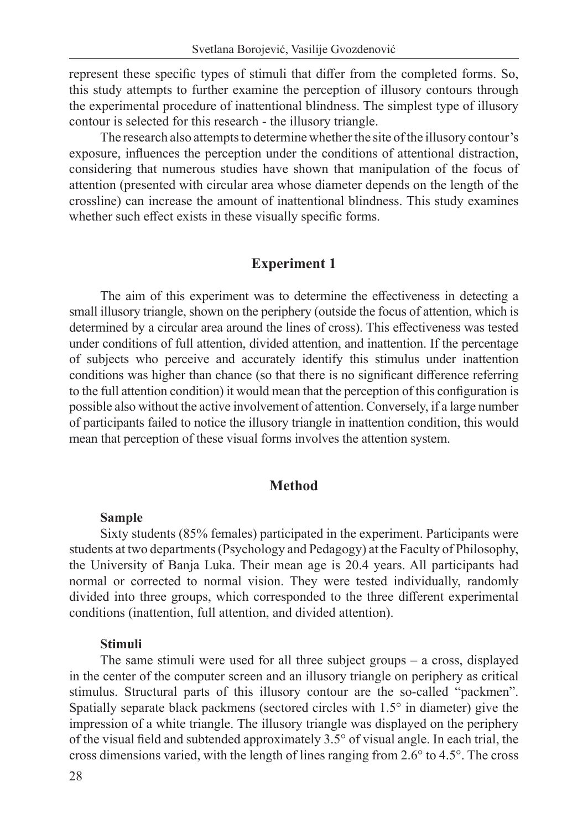represent these specific types of stimuli that differ from the completed forms. So, this study attempts to further examine the perception of illusory contours through the experimental procedure of inattentional blindness. The simplest type of illusory contour is selected for this research - the illusory triangle.

The research also attempts to determine whether the site of the illusory contour's exposure, influences the perception under the conditions of attentional distraction, considering that numerous studies have shown that manipulation of the focus of attention (presented with circular area whose diameter depends on the length of the crossline) can increase the amount of inattentional blindness. This study examines whether such effect exists in these visually specific forms.

#### **Experiment 1**

The aim of this experiment was to determine the effectiveness in detecting a small illusory triangle, shown on the periphery (outside the focus of attention, which is determined by a circular area around the lines of cross). This effectiveness was tested under conditions of full attention, divided attention, and inattention. If the percentage of subjects who perceive and accurately identify this stimulus under inattention conditions was higher than chance (so that there is no significant difference referring to the full attention condition) it would mean that the perception of this configuration is possible also without the active involvement of attention. Conversely, if a large number of participants failed to notice the illusory triangle in inattention condition, this would mean that perception of these visual forms involves the attention system.

#### **Method**

#### **Sample**

Sixty students (85% females) participated in the experiment. Participants were students at two departments (Psychology and Pedagogy) at the Faculty of Philosophy, the University of Banja Luka. Their mean age is 20.4 years. All participants had normal or corrected to normal vision. They were tested individually, randomly divided into three groups, which corresponded to the three different experimental conditions (inattention, full attention, and divided attention).

#### **Stimuli**

The same stimuli were used for all three subject groups – a cross, displayed in the center of the computer screen and an illusory triangle on periphery as critical stimulus. Structural parts of this illusory contour are the so-called "packmen". Spatially separate black packmens (sectored circles with 1.5° in diameter) give the impression of a white triangle. The illusory triangle was displayed on the periphery of the visual field and subtended approximately 3.5° of visual angle. In each trial, the cross dimensions varied, with the length of lines ranging from 2.6° to 4.5°. The cross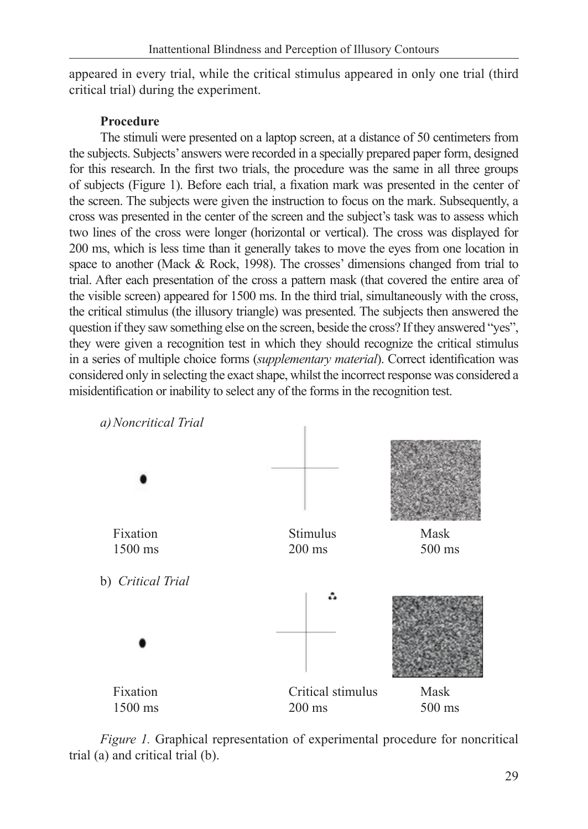appeared in every trial, while the critical stimulus appeared in only one trial (third critical trial) during the experiment.

## **Procedure**

The stimuli were presented on a laptop screen, at a distance of 50 centimeters from the subjects. Subjects' answers were recorded in a specially prepared paper form, designed for this research. In the first two trials, the procedure was the same in all three groups of subjects (Figure 1). Before each trial, a fixation mark was presented in the center of the screen. The subjects were given the instruction to focus on the mark. Subsequently, a cross was presented in the center of the screen and the subject's task was to assess which two lines of the cross were longer (horizontal or vertical). The cross was displayed for 200 ms, which is less time than it generally takes to move the eyes from one location in space to another (Mack & Rock, 1998). The crosses' dimensions changed from trial to trial. After each presentation of the cross a pattern mask (that covered the entire area of the visible screen) appeared for 1500 ms. In the third trial, simultaneously with the cross, the critical stimulus (the illusory triangle) was presented. The subjects then answered the question if they saw something else on the screen, beside the cross? If they answered "yes", they were given a recognition test in which they should recognize the critical stimulus in a series of multiple choice forms (*supplementary material*). Correct identification was considered only in selecting the exact shape, whilst the incorrect response was considered a misidentification or inability to select any of the forms in the recognition test.



*Figure 1.* Graphical representation of experimental procedure for noncritical trial (a) and critical trial (b).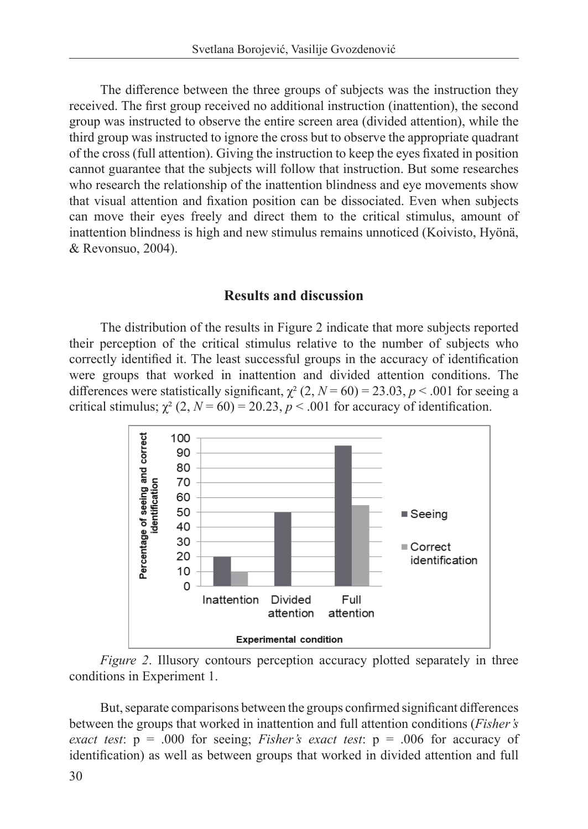The difference between the three groups of subjects was the instruction they received. The first group received no additional instruction (inattention), the second group was instructed to observe the entire screen area (divided attention), while the third group was instructed to ignore the cross but to observe the appropriate quadrant of the cross (full attention). Giving the instruction to keep the eyes fixated in position cannot guarantee that the subjects will follow that instruction. But some researches who research the relationship of the inattention blindness and eye movements show that visual attention and fixation position can be dissociated. Even when subjects can move their eyes freely and direct them to the critical stimulus, amount of inattention blindness is high and new stimulus remains unnoticed (Koivisto, Hyönä, & Revonsuo, 2004).

### **Results and discussion**

The distribution of the results in Figure 2 indicate that more subjects reported their perception of the critical stimulus relative to the number of subjects who correctly identified it. The least successful groups in the accuracy of identification were groups that worked in inattention and divided attention conditions. The differences were statistically significant,  $\chi^2$  (2,  $N = 60$ ) = 23.03,  $p < .001$  for seeing a critical stimulus;  $\chi^2$  (2,  $N = 60$ ) = 20.23,  $p < .001$  for accuracy of identification.



*Figure 2*. Illusory contours perception accuracy plotted separately in three conditions in Experiment 1.

But, separate comparisons between the groups confirmed significant differences between the groups that worked in inattention and full attention conditions (*Fisher's exact test*:  $p = .000$  for seeing; *Fisher's exact test*:  $p = .006$  for accuracy of identification) as well as between groups that worked in divided attention and full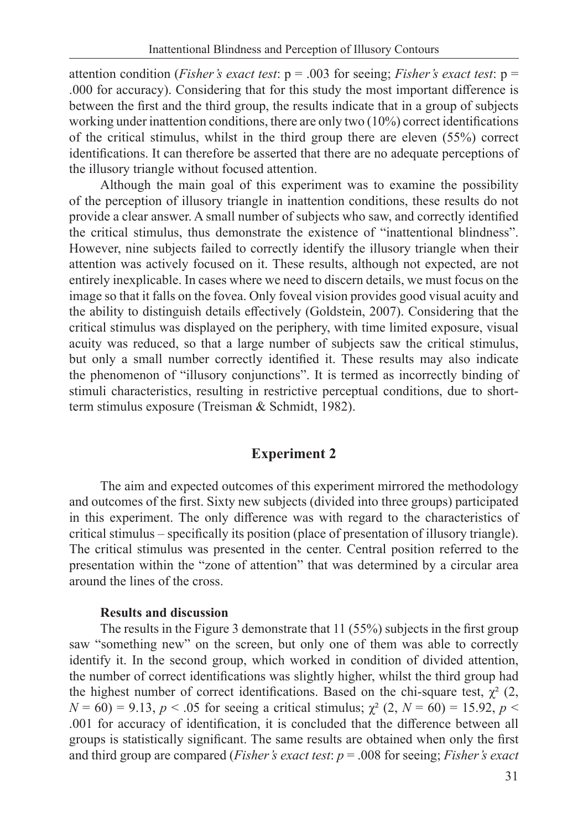attention condition (*Fisher's exact test*: p = .003 for seeing; *Fisher's exact test*: p = .000 for accuracy). Considering that for this study the most important difference is between the first and the third group, the results indicate that in a group of subjects working under inattention conditions, there are only two (10%) correct identifications of the critical stimulus, whilst in the third group there are eleven (55%) correct identifications. It can therefore be asserted that there are no adequate perceptions of the illusory triangle without focused attention.

Although the main goal of this experiment was to examine the possibility of the perception of illusory triangle in inattention conditions, these results do not provide a clear answer. A small number of subjects who saw, and correctly identified the critical stimulus, thus demonstrate the existence of "inattentional blindness". However, nine subjects failed to correctly identify the illusory triangle when their attention was actively focused on it. These results, although not expected, are not entirely inexplicable. In cases where we need to discern details, we must focus on the image so that it falls on the fovea. Only foveal vision provides good visual acuity and the ability to distinguish details effectively (Goldstein, 2007). Considering that the critical stimulus was displayed on the periphery, with time limited exposure, visual acuity was reduced, so that a large number of subjects saw the critical stimulus, but only a small number correctly identified it. These results may also indicate the phenomenon of "illusory conjunctions". It is termed as incorrectly binding of stimuli characteristics, resulting in restrictive perceptual conditions, due to shortterm stimulus exposure (Treisman & Schmidt, 1982).

### **Experiment 2**

The aim and expected outcomes of this experiment mirrored the methodology and outcomes of the first. Sixty new subjects (divided into three groups) participated in this experiment. The only difference was with regard to the characteristics of critical stimulus – specifically its position (place of presentation of illusory triangle). The critical stimulus was presented in the center. Central position referred to the presentation within the "zone of attention" that was determined by a circular area around the lines of the cross.

#### **Results and discussion**

The results in the Figure 3 demonstrate that 11 (55%) subjects in the first group saw "something new" on the screen, but only one of them was able to correctly identify it. In the second group, which worked in condition of divided attention, the number of correct identifications was slightly higher, whilst the third group had the highest number of correct identifications. Based on the chi-square test,  $\chi^2$  (2,  $N = 60$ ) = 9.13,  $p < .05$  for seeing a critical stimulus;  $\chi^2$  (2,  $N = 60$ ) = 15.92,  $p <$ .001 for accuracy of identification, it is concluded that the difference between all groups is statistically significant. The same results are obtained when only the first and third group are compared (*Fisher's exact test*: *p* = .008 for seeing; *Fisher's exact*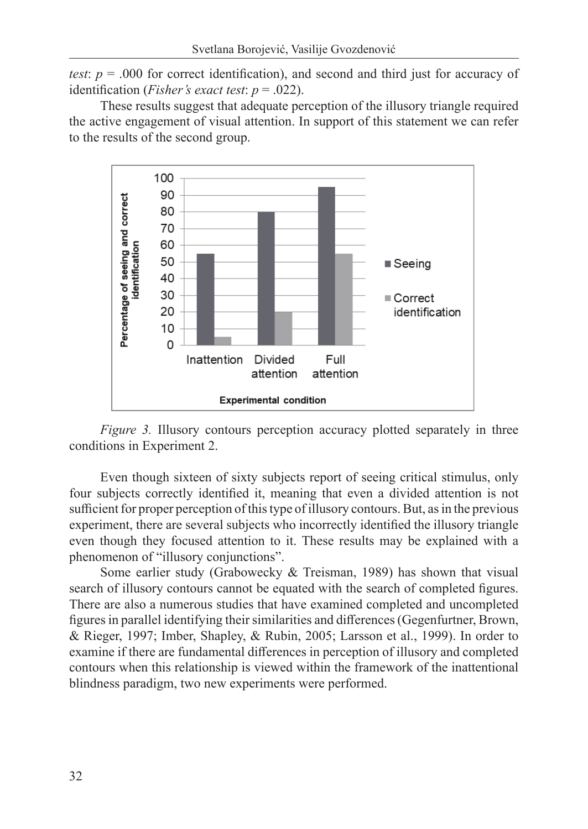*test*:  $p = .000$  for correct identification), and second and third just for accuracy of identification (*Fisher's exact test*: *p* = .022).

These results suggest that adequate perception of the illusory triangle required the active engagement of visual attention. In support of this statement we can refer to the results of the second group.



*Figure 3.* Illusory contours perception accuracy plotted separately in three conditions in Experiment 2.

Even though sixteen of sixty subjects report of seeing critical stimulus, only four subjects correctly identified it, meaning that even a divided attention is not sufficient for proper perception of this type of illusory contours. But, as in the previous experiment, there are several subjects who incorrectly identified the illusory triangle even though they focused attention to it. These results may be explained with a phenomenon of "illusory conjunctions".

Some earlier study (Grabowecky & Treisman, 1989) has shown that visual search of illusory contours cannot be equated with the search of completed figures. There are also a numerous studies that have examined completed and uncompleted figures in parallel identifying their similarities and differences (Gegenfurtner, Brown, & Rieger, 1997; Imber, Shapley, & Rubin, 2005; Larsson et al., 1999). In order to examine if there are fundamental differences in perception of illusory and completed contours when this relationship is viewed within the framework of the inattentional blindness paradigm, two new experiments were performed.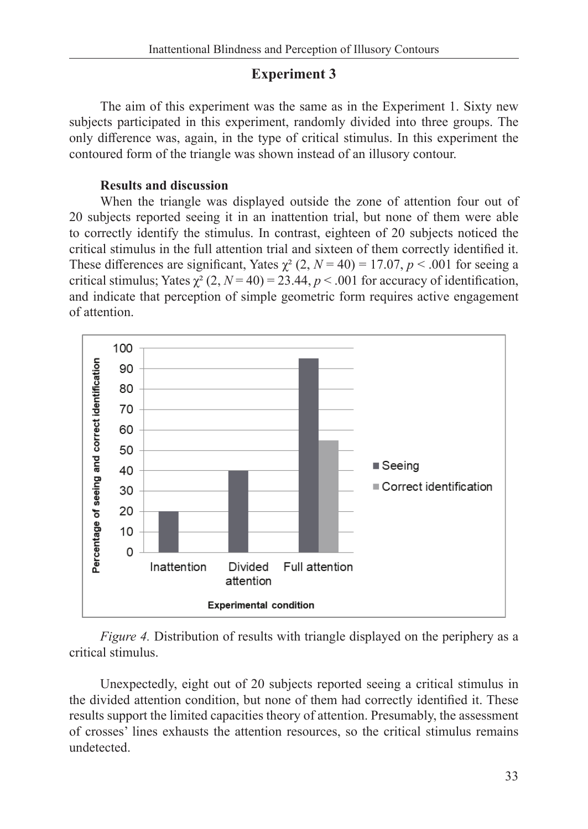### **Experiment 3**

The aim of this experiment was the same as in the Experiment 1. Sixty new subjects participated in this experiment, randomly divided into three groups. The only difference was, again, in the type of critical stimulus. In this experiment the contoured form of the triangle was shown instead of an illusory contour.

### **Results and discussion**

When the triangle was displayed outside the zone of attention four out of 20 subjects reported seeing it in an inattention trial, but none of them were able to correctly identify the stimulus. In contrast, eighteen of 20 subjects noticed the critical stimulus in the full attention trial and sixteen of them correctly identified it. These differences are significant, Yates  $\chi^2$  (2,  $N = 40$ ) = 17.07,  $p < .001$  for seeing a critical stimulus; Yates  $\chi^2$  (2, *N* = 40) = 23.44, *p* < .001 for accuracy of identification, and indicate that perception of simple geometric form requires active engagement of attention.



*Figure 4.* Distribution of results with triangle displayed on the periphery as a critical stimulus.

Unexpectedly, eight out of 20 subjects reported seeing a critical stimulus in the divided attention condition, but none of them had correctly identified it. These results support the limited capacities theory of attention. Presumably, the assessment of crosses' lines exhausts the attention resources, so the critical stimulus remains undetected.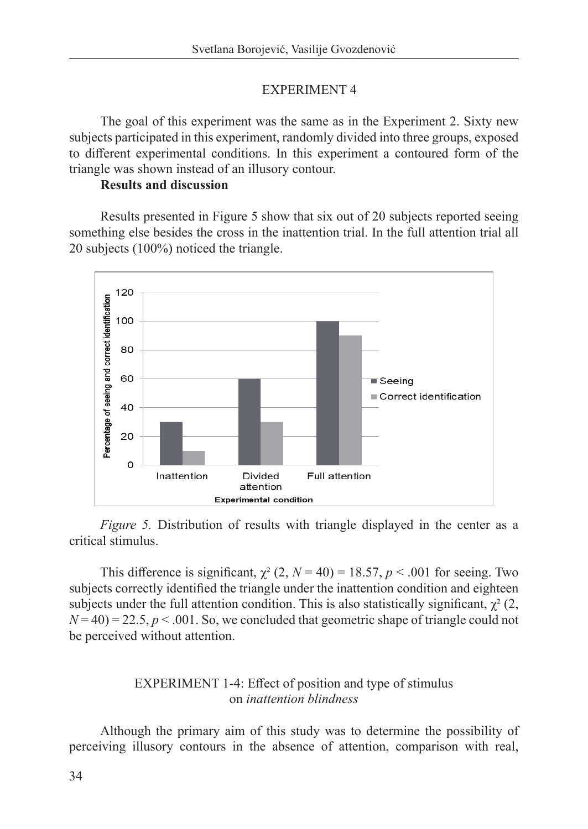### EXPERIMENT 4

The goal of this experiment was the same as in the Experiment 2. Sixty new subjects participated in this experiment, randomly divided into three groups, exposed to different experimental conditions. In this experiment a contoured form of the triangle was shown instead of an illusory contour.

### **Results and discussion**

Results presented in Figure 5 show that six out of 20 subjects reported seeing something else besides the cross in the inattention trial. In the full attention trial all 20 subjects (100%) noticed the triangle.



*Figure 5.* Distribution of results with triangle displayed in the center as a critical stimulus.

This difference is significant,  $\chi^2$  (2,  $N = 40$ ) = 18.57,  $p < .001$  for seeing. Two subjects correctly identified the triangle under the inattention condition and eighteen subjects under the full attention condition. This is also statistically significant,  $\chi^2$  (2,  $N = 40$ ) = 22.5,  $p < 0.01$ . So, we concluded that geometric shape of triangle could not be perceived without attention.

### EXPERIMENT 1-4: Effect of position and type of stimulus on *inattention blindness*

Although the primary aim of this study was to determine the possibility of perceiving illusory contours in the absence of attention, comparison with real,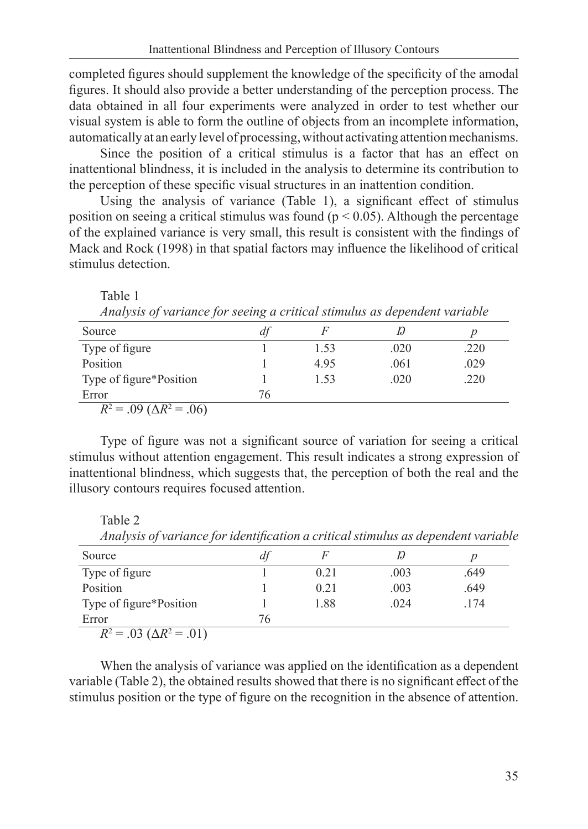completed figures should supplement the knowledge of the specificity of the amodal figures. It should also provide a better understanding of the perception process. The data obtained in all four experiments were analyzed in order to test whether our visual system is able to form the outline of objects from an incomplete information, automatically at an early level of processing, without activating attention mechanisms.

Since the position of a critical stimulus is a factor that has an effect on inattentional blindness, it is included in the analysis to determine its contribution to the perception of these specific visual structures in an inattention condition.

Using the analysis of variance (Table 1), a significant effect of stimulus position on seeing a critical stimulus was found ( $p < 0.05$ ). Although the percentage of the explained variance is very small, this result is consistent with the findings of Mack and Rock (1998) in that spatial factors may influence the likelihood of critical stimulus detection.

| Analysis of variance for seeing a critical summus as aependent variable |    |      |      |      |  |  |  |  |
|-------------------------------------------------------------------------|----|------|------|------|--|--|--|--|
| Source                                                                  | dt |      |      |      |  |  |  |  |
| Type of figure                                                          |    | 1.53 | .020 | .220 |  |  |  |  |
| Position                                                                |    | 4.95 | .061 | .029 |  |  |  |  |
| Type of figure*Position                                                 |    | 1.53 | .020 | .220 |  |  |  |  |
| Error                                                                   | 76 |      |      |      |  |  |  |  |
| $R^2 = .09$ ( $\Delta R^2 = .06$ )                                      |    |      |      |      |  |  |  |  |

*Analysis of variance for seeing a critical stimulus as dependent variable* 

Type of figure was not a significant source of variation for seeing a critical stimulus without attention engagement. This result indicates a strong expression of inattentional blindness, which suggests that, the perception of both the real and the illusory contours requires focused attention.

Table 2

Table 1

| Source                             | a  |      |      |      |
|------------------------------------|----|------|------|------|
| Type of figure                     |    | 0.21 | .003 | .649 |
| Position                           |    | 0.21 | .003 | .649 |
| Type of figure*Position            |    | 1.88 | .024 | .174 |
| Error                              | 76 |      |      |      |
| $R^2 = .03$ ( $\Delta R^2 = .01$ ) |    |      |      |      |

*Analysis of variance for identification a critical stimulus as dependent variable*

When the analysis of variance was applied on the identification as a dependent variable (Table 2), the obtained results showed that there is no significant effect of the stimulus position or the type of figure on the recognition in the absence of attention.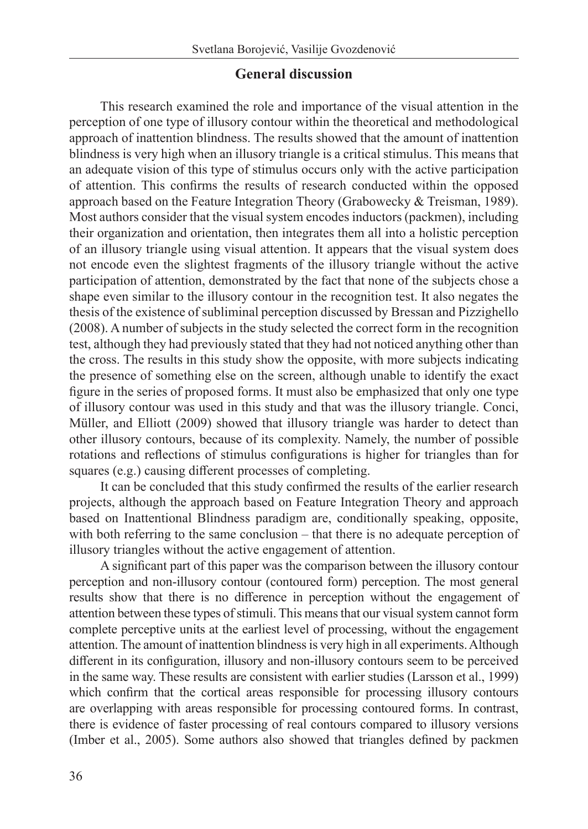### **General discussion**

This research examined the role and importance of the visual attention in the perception of one type of illusory contour within the theoretical and methodological approach of inattention blindness. The results showed that the amount of inattention blindness is very high when an illusory triangle is a critical stimulus. This means that an adequate vision of this type of stimulus occurs only with the active participation of attention. This confirms the results of research conducted within the opposed approach based on the Feature Integration Theory (Grabowecky & Treisman, 1989). Most authors consider that the visual system encodes inductors (packmen), including their organization and orientation, then integrates them all into a holistic perception of an illusory triangle using visual attention. It appears that the visual system does not encode even the slightest fragments of the illusory triangle without the active participation of attention, demonstrated by the fact that none of the subjects chose a shape even similar to the illusory contour in the recognition test. It also negates the thesis of the existence of subliminal perception discussed by Bressan and Pizzighello (2008). A number of subjects in the study selected the correct form in the recognition test, although they had previously stated that they had not noticed anything other than the cross. The results in this study show the opposite, with more subjects indicating the presence of something else on the screen, although unable to identify the exact figure in the series of proposed forms. It must also be emphasized that only one type of illusory contour was used in this study and that was the illusory triangle. Conci, Müller, and Elliott (2009) showed that illusory triangle was harder to detect than other illusory contours, because of its complexity. Namely, the number of possible rotations and reflections of stimulus configurations is higher for triangles than for squares (e.g.) causing different processes of completing.

It can be concluded that this study confirmed the results of the earlier research projects, although the approach based on Feature Integration Theory and approach based on Inattentional Blindness paradigm are, conditionally speaking, opposite, with both referring to the same conclusion – that there is no adequate perception of illusory triangles without the active engagement of attention.

A significant part of this paper was the comparison between the illusory contour perception and non-illusory contour (contoured form) perception. The most general results show that there is no difference in perception without the engagement of attention between these types of stimuli. This means that our visual system cannot form complete perceptive units at the earliest level of processing, without the engagement attention. The amount of inattention blindness is very high in all experiments. Although different in its configuration, illusory and non-illusory contours seem to be perceived in the same way. These results are consistent with earlier studies (Larsson et al., 1999) which confirm that the cortical areas responsible for processing illusory contours are overlapping with areas responsible for processing contoured forms. In contrast, there is evidence of faster processing of real contours compared to illusory versions (Imber et al., 2005). Some authors also showed that triangles defined by packmen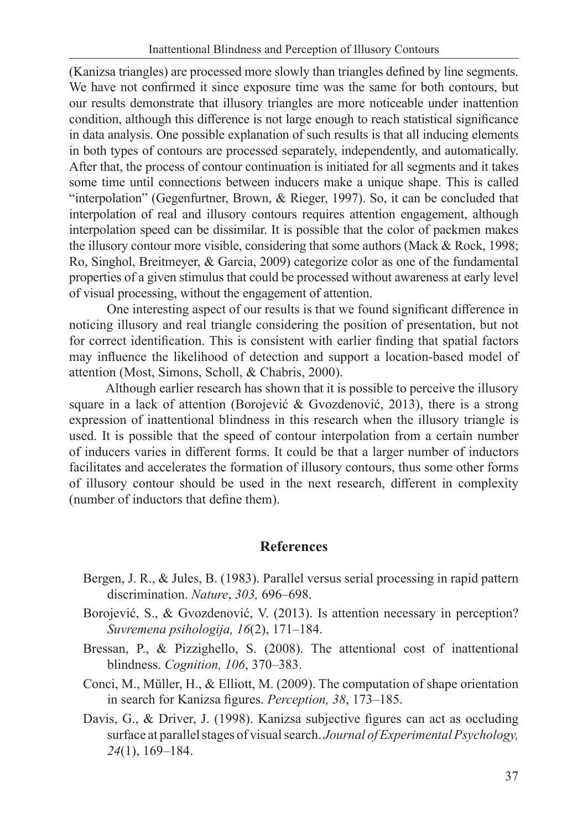(Kanizsa triangles) are processed more slowly than triangles defined by line segments. We have not confirmed it since exposure time was the same for both contours, but our results demonstrate that illusory triangles are more noticeable under inattention condition, although this difference is not large enough to reach statistical significance in data analysis. One possible explanation of such results is that all inducing elements in both types of contours are processed separately, independently, and automatically. After that, the process of contour continuation is initiated for all segments and it takes some time until connections between inducers make a unique shape. This is called "interpolation" (Gegenfurtner, Brown, & Rieger, 1997). So, it can be concluded that interpolation of real and illusory contours requires attention engagement, although interpolation speed can be dissimilar. It is possible that the color of packmen makes the illusory contour more visible, considering that some authors (Mack & Rock, 1998; Ro, Singhol, Breitmeyer, & Garcia, 2009) categorize color as one of the fundamental properties of a given stimulus that could be processed without awareness at early level of visual processing, without the engagement of attention.

 One interesting aspect of our results is that we found significant difference in noticing illusory and real triangle considering the position of presentation, but not for correct identification. This is consistent with earlier finding that spatial factors may influence the likelihood of detection and support a location-based model of attention (Most, Simons, Scholl, & Chabris, 2000).

 Although earlier research has shown that it is possible to perceive the illusory square in a lack of attention (Borojević & Gvozdenović, 2013), there is a strong expression of inattentional blindness in this research when the illusory triangle is used. It is possible that the speed of contour interpolation from a certain number of inducers varies in different forms. It could be that a larger number of inductors facilitates and accelerates the formation of illusory contours, thus some other forms of illusory contour should be used in the next research, different in complexity (number of inductors that define them).

## **References**

- Bergen, J. R., & Jules, B. (1983). Parallel versus serial processing in rapid pattern discrimination. *Nature*, *303,* 696–698.
- Borojević, S., & Gvozdenović, V. (2013). Is attention necessary in perception? *Suvremena psihologija, 16*(2), 171–184.
- Bressan, P., & Pizzighello, S. (2008). The attentional cost of inattentional blindness. *Cognition, 106*, 370–383.
- Conci, M., Müller, H., & Elliott, M. (2009). The computation of shape orientation in search for Kanizsa figures. *Perception, 38*, 173–185.
- Davis, G., & Driver, J. (1998). Kanizsa subjective figures can act as occluding surface at parallel stages of visual search. *Journal of Experimental Psychology, 24*(1), 169–184.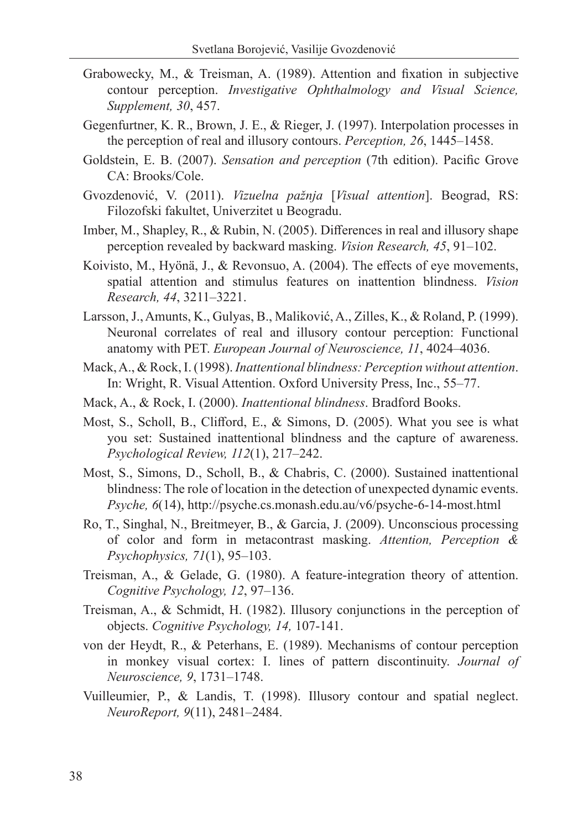- Grabowecky, M., & Treisman, A. (1989). Attention and fixation in subjective contour perception. *Investigative Ophthalmology and Visual Science, Supplement, 30*, 457.
- Gegenfurtner, K. R., Brown, J. E., & Rieger, J. (1997). Interpolation processes in the perception of real and illusory contours. *Perception, 26*, 1445–1458.
- Goldstein, E. B. (2007). *Sensation and perception* (7th edition). Pacific Grove CA: Brooks/Cole.
- Gvozdenović, V. (2011). *Vizuelna pažnja* [*Visual attention*]. Beograd, RS: Filozofski fakultet, Univerzitet u Beogradu.
- Imber, M., Shapley, R., & Rubin, N. (2005). Differences in real and illusory shape perception revealed by backward masking. *Vision Research, 45*, 91–102.
- Koivisto, M., Hyӧnӓ, J., & Revonsuo, A. (2004). The effects of eye movements, spatial attention and stimulus features on inattention blindness. *Vision Research, 44*, 3211–3221.
- Larsson, J., Amunts, K., Gulyas, B., Maliković, A., Zilles, K., & Roland, P. (1999). Neuronal correlates of real and illusory contour perception: Functional anatomy with PET. *European Journal of Neuroscience, 11*, 4024–4036.
- Mack, A., & Rock, I. (1998). *Inattentional blindness: Perception without attention*. In: Wright, R. Visual Attention. Oxford University Press, Inc., 55–77.
- Mack, A., & Rock, I. (2000). *Inattentional blindness*. Bradford Books.
- Most, S., Scholl, B., Clifford, E., & Simons, D. (2005). What you see is what you set: Sustained inattentional blindness and the capture of awareness. *Psychological Review, 112*(1), 217–242.
- Most, S., Simons, D., Scholl, B., & Chabris, C. (2000). Sustained inattentional blindness: The role of location in the detection of unexpected dynamic events. *Psyche, 6*(14), http://psyche.cs.monash.edu.au/v6/psyche-6-14-most.html
- Ro, T., Singhal, N., Breitmeyer, B., & Garcia, J. (2009). Unconscious processing of color and form in metacontrast masking. *Attention, Perception & Psychophysics, 71*(1), 95–103.
- Treisman, A., & Gelade, G. (1980). A feature-integration theory of attention. *Cognitive Psychology, 12*, 97–136.
- Treisman, A., & Schmidt, H. (1982). Illusory conjunctions in the perception of objects. *Cognitive Psychology, 14,* 107-141.
- von der Heydt, R., & Peterhans, E. (1989). Mechanisms of contour perception in monkey visual cortex: I. lines of pattern discontinuity. *Journal of Neuroscience, 9*, 1731–1748.
- Vuilleumier, P., & Landis, T. (1998). Illusory contour and spatial neglect. *NeuroReport, 9*(11), 2481–2484.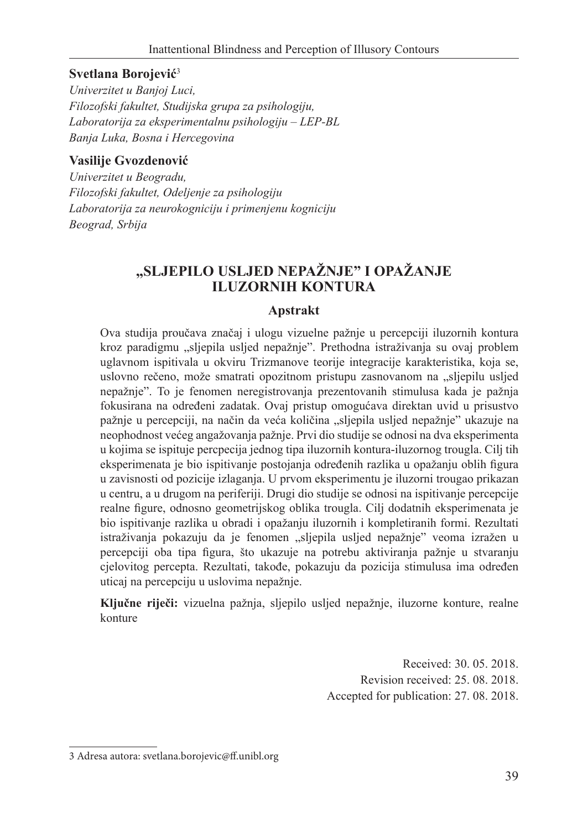### **Svetlana Borojević**<sup>3</sup>

*Univerzitet u Banjoj Luci, Filozofski fakultet, Studijska grupa za psihologiju, Laboratorija za eksperimentalnu psihologiju – LEP-BL Banja Luka, Bosna i Hercegovina*

### **Vasilije Gvozdenović**

*Univerzitet u Beogradu, Filozofski fakultet, Odeljenje za psihologiju Laboratorija za neurokogniciju i primenjenu kogniciju Beograd, Srbija*

## **"SLJEPILO USLJED NEPAŽNJE" I OPAŽANJE ILUZORNIH KONTURA**

### **Apstrakt**

Ova studija proučava značaj i ulogu vizuelne pažnje u percepciji iluzornih kontura kroz paradigmu "sljepila usljed nepažnje". Prethodna istraživanja su ovaj problem uglavnom ispitivala u okviru Trizmanove teorije integracije karakteristika, koja se, uslovno rečeno, može smatrati opozitnom pristupu zasnovanom na "sljepilu usljed nepažnje". To je fenomen neregistrovanja prezentovanih stimulusa kada je pažnja fokusirana na određeni zadatak. Ovaj pristup omogućava direktan uvid u prisustvo pažnje u percepciji, na način da veća količina "sljepila usljed nepažnje" ukazuje na neophodnost većeg angažovanja pažnje. Prvi dio studije se odnosi na dva eksperimenta u kojima se ispituje percpecija jednog tipa iluzornih kontura-iluzornog trougla. Cilj tih eksperimenata je bio ispitivanje postojanja određenih razlika u opažanju oblih figura u zavisnosti od pozicije izlaganja. U prvom eksperimentu je iluzorni trougao prikazan u centru, a u drugom na periferiji. Drugi dio studije se odnosi na ispitivanje percepcije realne figure, odnosno geometrijskog oblika trougla. Cilj dodatnih eksperimenata je bio ispitivanje razlika u obradi i opažanju iluzornih i kompletiranih formi. Rezultati istraživanja pokazuju da je fenomen "sljepila usljed nepažnje" veoma izražen u percepciji oba tipa figura, što ukazuje na potrebu aktiviranja pažnje u stvaranju cjelovitog percepta. Rezultati, takođe, pokazuju da pozicija stimulusa ima određen uticaj na percepciju u uslovima nepažnje.

**Ključne riječi:** vizuelna pažnja, sljepilo usljed nepažnje, iluzorne konture, realne konture

> Received: 30. 05. 2018. Revision received: 25. 08. 2018. Accepted for publication: 27. 08. 2018.

<sup>3</sup> Adresa autora: svetlana.borojevic@ff.unibl.org